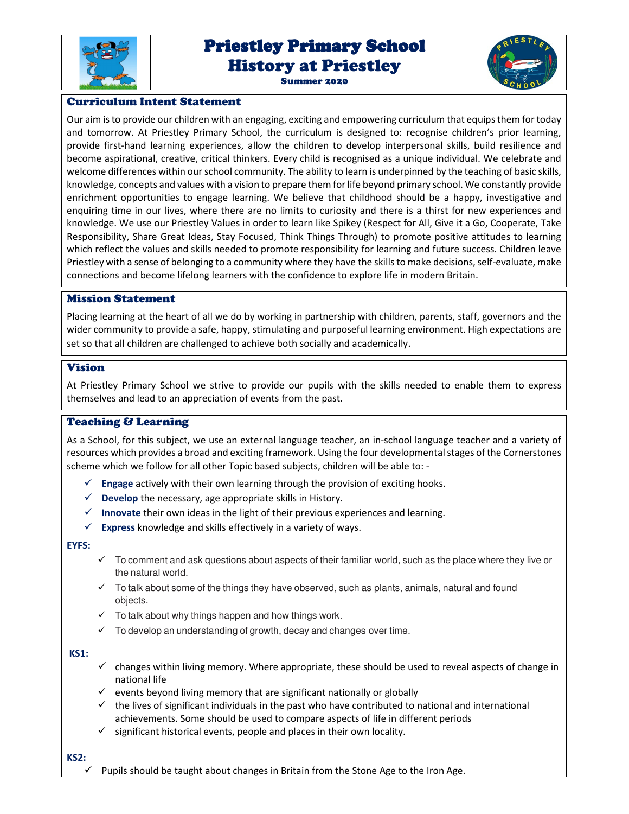

# Priestley Primary School Priestley Primary School History at Priestley

Summer 2020



# Curriculum Intent Statement

Our aim is to provide our children with an engaging, exciting and empowering curriculum that equips them for today and tomorrow. At Priestley Primary School, the curriculum is designed to: recognise children's prior learning, provide first-hand learning experiences, allow the children to develop interpersonal skills, build resilience and become aspirational, creative, critical thinkers. Every child is recognised as a unique individual. We celebrate and welcome differences within our school community. The ability to learn is underpinned by the teaching of basic skills, knowledge, concepts and values with a vision to prepare them for life beyond primary school. We constantly provide enrichment opportunities to engage learning. We believe that childhood should be a happy, investigative and enquiring time in our lives, where there are no limits to curiosity and there is a thirst for new experiences and knowledge. We use our Priestley Values in order to learn like Spikey (Respect for All, Give it a Go, Cooperate, Take Responsibility, Share Great Ideas, Stay Focused, Think Things Through) to promote positive attitudes to learning which reflect the values and skills needed to promote responsibility for learning and future success. Children leave Priestley with a sense of belonging to a community where they have the skills to make decisions, self-evaluate, make connections and become lifelong learners with the confidence to explore life in modern Britain.

#### Mission Statement

Placing learning at the heart of all we do by working in partnership with children, parents, staff, governors and the wider community to provide a safe, happy, stimulating and purposeful learning environment. High expectations are set so that all children are challenged to achieve both socially and academically.

# Vision

At Priestley Primary School we strive to provide our pupils with the skills needed to enable them to express themselves and lead to an appreciation of events from the past.

# Teaching & Learning

As a School, for this subject, we use an external language teacher, an in-school language teacher and a variety of resources which provides a broad and exciting framework. Using the four developmental stages of the Cornerstones scheme which we follow for all other Topic based subjects, children will be able to: -

- **Engage** actively with their own learning through the provision of exciting hooks.
- $\checkmark$  **Develop** the necessary, age appropriate skills in History.
- **Innovate** their own ideas in the light of their previous experiences and learning.
- $\checkmark$  **Express** knowledge and skills effectively in a variety of ways.

#### **EYFS:**

- $\checkmark$  To comment and ask questions about aspects of their familiar world, such as the place where they live or the natural world.
- $\checkmark$  To talk about some of the things they have observed, such as plants, animals, natural and found objects.
- $\checkmark$  To talk about why things happen and how things work.
- $\checkmark$  To develop an understanding of growth, decay and changes over time.

#### **KS1:**

- $\checkmark$  changes within living memory. Where appropriate, these should be used to reveal aspects of change in national life
- $\checkmark$  events beyond living memory that are significant nationally or globally
- $\checkmark$  the lives of significant individuals in the past who have contributed to national and international achievements. Some should be used to compare aspects of life in different periods
- $\checkmark$  significant historical events, people and places in their own locality.

#### **KS2:**

Pupils should be taught about changes in Britain from the Stone Age to the Iron Age.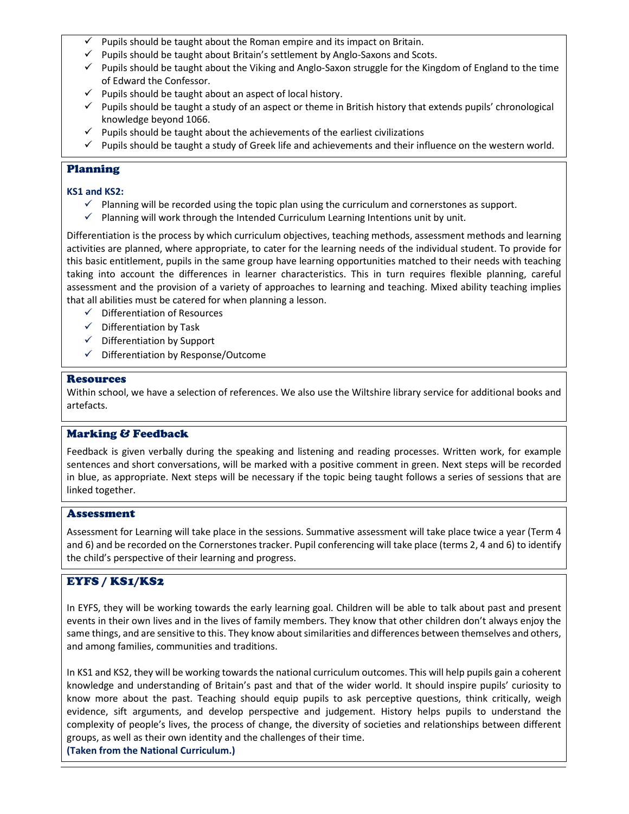- Pupils should be taught about the Roman empire and its impact on Britain.
- $\checkmark$  Pupils should be taught about Britain's settlement by Anglo-Saxons and Scots.
- $\checkmark$  Pupils should be taught about the Viking and Anglo-Saxon struggle for the Kingdom of England to the time of Edward the Confessor.
- $\checkmark$  Pupils should be taught about an aspect of local history.
- $\checkmark$  Pupils should be taught a study of an aspect or theme in British history that extends pupils' chronological knowledge beyond 1066.
- $\checkmark$  Pupils should be taught about the achievements of the earliest civilizations
- $\checkmark$  Pupils should be taught a study of Greek life and achievements and their influence on the western world.

### Planning

#### **KS1 and KS2:**

- $\checkmark$  Planning will be recorded using the topic plan using the curriculum and cornerstones as support.
- $\checkmark$  Planning will work through the Intended Curriculum Learning Intentions unit by unit.

Differentiation is the process by which curriculum objectives, teaching methods, assessment methods and learning activities are planned, where appropriate, to cater for the learning needs of the individual student. To provide for this basic entitlement, pupils in the same group have learning opportunities matched to their needs with teaching taking into account the differences in learner characteristics. This in turn requires flexible planning, careful assessment and the provision of a variety of approaches to learning and teaching. Mixed ability teaching implies that all abilities must be catered for when planning a lesson.

- $\checkmark$  Differentiation of Resources
- $\checkmark$  Differentiation by Task
- $\checkmark$  Differentiation by Support
- $\checkmark$  Differentiation by Response/Outcome

#### **Resources**

Within school, we have a selection of references. We also use the Wiltshire library service for additional books and artefacts.

# Marking & Feedback

Feedback is given verbally during the speaking and listening and reading processes. Written work, for example sentences and short conversations, will be marked with a positive comment in green. Next steps will be recorded in blue, as appropriate. Next steps will be necessary if the topic being taught follows a series of sessions that are linked together.

#### Assessment

Assessment for Learning will take place in the sessions. Summative assessment will take place twice a year (Term 4 and 6) and be recorded on the Cornerstones tracker. Pupil conferencing will take place (terms 2, 4 and 6) to identify the child's perspective of their learning and progress.

# EYFS / KS1/KS2

In EYFS, they will be working towards the early learning goal. Children will be able to talk about past and present events in their own lives and in the lives of family members. They know that other children don't always enjoy the same things, and are sensitive to this. They know about similarities and differences between themselves and others, and among families, communities and traditions.

In KS1 and KS2, they will be working towards the national curriculum outcomes. This will help pupils gain a coherent knowledge and understanding of Britain's past and that of the wider world. It should inspire pupils' curiosity to know more about the past. Teaching should equip pupils to ask perceptive questions, think critically, weigh evidence, sift arguments, and develop perspective and judgement. History helps pupils to understand the complexity of people's lives, the process of change, the diversity of societies and relationships between different groups, as well as their own identity and the challenges of their time.

**(Taken from the National Curriculum.)**